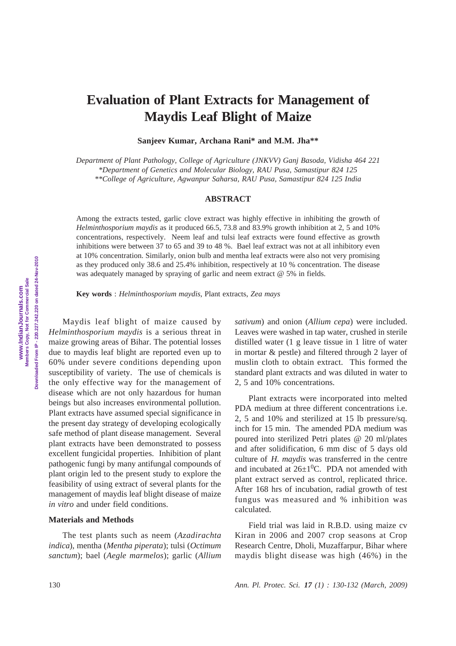## **Evaluation of Plant Extracts for Management of Maydis Leaf Blight of Maize**

**Sanjeev Kumar, Archana Rani\* and M.M. Jha\*\***

*Department of Plant Pathology, College of Agriculture (JNKVV) Ganj Basoda, Vidisha 464 221 \*Department of Genetics and Molecular Biology, RAU Pusa, Samastipur 824 125 \*\*College of Agriculture, Agwanpur Saharsa, RAU Pusa, Samastipur 824 125 India*

**ABSTRACT**

Among the extracts tested, garlic clove extract was highly effective in inhibiting the growth of *Helminthosporium maydis* as it produced 66.5, 73.8 and 83.9% growth inhibition at 2, 5 and 10% concentrations, respectively. Neem leaf and tulsi leaf extracts were found effective as growth inhibitions were between 37 to 65 and 39 to 48 %. Bael leaf extract was not at all inhibitory even at 10% concentration. Similarly, onion bulb and mentha leaf extracts were also not very promising as they produced only 38.6 and 25.4% inhibition, respectively at 10 % concentration. The disease was adequately managed by spraying of garlic and neem extract @ 5% in fields.

**Key words** : *Helminthosporium maydis*, Plant extracts, *Zea mays*

Maydis leaf blight of maize caused by *Helminthosporium maydis* is a serious threat in maize growing areas of Bihar. The potential losses due to maydis leaf blight are reported even up to 60% under severe conditions depending upon susceptibility of variety. The use of chemicals is the only effective way for the management of disease which are not only hazardous for human beings but also increases environmental pollution. Plant extracts have assumed special significance in the present day strategy of developing ecologically safe method of plant disease management. Several plant extracts have been demonstrated to possess excellent fungicidal properties. Inhibition of plant pathogenic fungi by many antifungal compounds of plant origin led to the present study to explore the feasibility of using extract of several plants for the management of maydis leaf blight disease of maize *in vitro* and under field conditions.

## **Materials and Methods**

The test plants such as neem (*Azadirachta indica*), mentha (*Mentha piperata*); tulsi (*Octimum sanctum*); bael (*Aegle marmelos*); garlic (*Allium* *sativum*) and onion (*Allium cepa*) were included. Leaves were washed in tap water, crushed in sterile distilled water (1 g leave tissue in 1 litre of water in mortar & pestle) and filtered through 2 layer of muslin cloth to obtain extract. This formed the standard plant extracts and was diluted in water to 2, 5 and 10% concentrations.

Plant extracts were incorporated into melted PDA medium at three different concentrations i.e. 2, 5 and 10% and sterilized at 15 lb pressure/sq. inch for 15 min. The amended PDA medium was poured into sterilized Petri plates @ 20 ml/plates and after solidification, 6 mm disc of 5 days old culture of *H. maydis* was transferred in the centre and incubated at  $26\pm1\textsuperscript{0}$ C. PDA not amended with plant extract served as control, replicated thrice. After 168 hrs of incubation, radial growth of test fungus was measured and % inhibition was calculated.

Field trial was laid in R.B.D. using maize cv Kiran in 2006 and 2007 crop seasons at Crop Research Centre, Dholi, Muzaffarpur, Bihar where maydis blight disease was high (46%) in the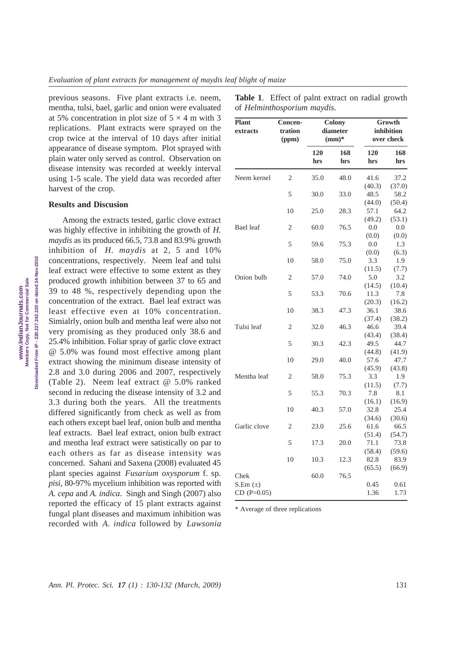previous seasons. Five plant extracts i.e. neem, mentha, tulsi, bael, garlic and onion were evaluated at 5% concentration in plot size of  $5 \times 4$  m with 3 replications. Plant extracts were sprayed on the crop twice at the interval of 10 days after initial appearance of disease symptom. Plot sprayed with plain water only served as control. Observation on disease intensity was recorded at weekly interval using 1-5 scale. The yield data was recorded after harvest of the crop.

## **Results and Discusion**

Among the extracts tested, garlic clove extract was highly effective in inhibiting the growth of *H. maydis* as its produced 66.5, 73.8 and 83.9% growth inhibition of *H. maydis* at 2, 5 and 10% concentrations, respectively. Neem leaf and tulsi leaf extract were effective to some extent as they produced growth inhibition between 37 to 65 and 39 to 48 %, respectively depending upon the concentration of the extract. Bael leaf extract was least effective even at 10% concentration. Simialrly, onion bulb and mentha leaf were also not very promising as they produced only 38.6 and 25.4% inhibition. Foliar spray of garlic clove extract @ 5.0% was found most effective among plant extract showing the minimum disease intensity of 2.8 and 3.0 during 2006 and 2007, respectively (Table 2). Neem leaf extract @ 5.0% ranked second in reducing the disease intensity of 3.2 and 3.3 during both the years. All the treatments differed significantly from check as well as from each others except bael leaf, onion bulb and mentha leaf extracts. Bael leaf extract, onion bulb extract and mentha leaf extract were satistically on par to each others as far as disease intensity was concerned. Sahani and Saxena (2008) evaluated 45 plant species against *Fusarium oxysporum* f. sp. *pisi*, 80-97% mycelium inhibition was reported with *A. cepa* and *A. indica*. Singh and Singh (2007) also reported the efficacy of 15 plant extracts against fungal plant diseases and maximum inhibition was recorded with *A. indica* followed by *Lawsonia*

| Table 1. Effect of palnt extract on radial growth |  |  |
|---------------------------------------------------|--|--|
| of Helminthosporium maydis.                       |  |  |

| <b>Plant</b><br>extracts | Concen-<br>tration<br>(ppm) | Colony<br>diameter<br>$(mm)*$ |            | Growth<br>inhibition<br>over check |                   |
|--------------------------|-----------------------------|-------------------------------|------------|------------------------------------|-------------------|
|                          |                             | 120<br>hrs                    | 168<br>hrs | 120<br>hrs                         | 168<br>hrs        |
| Neem kernel              | $\overline{2}$              | 35.0                          | 48.0       | 41.6                               | 37.2              |
|                          |                             |                               |            | (40.3)                             | (37.0)            |
|                          | 5                           | 30.0                          | 33.0       | 48.5                               | 58.2              |
|                          |                             |                               |            | (44.0)                             | (50.4)            |
|                          | 10                          | 25.0                          | 28.3       | 57.1                               | 64.2              |
| Bael leaf                | 2                           |                               |            | (49.2)<br>0.0                      | (53.1)<br>$0.0\,$ |
|                          |                             | 60.0                          | 76.5       | (0.0)                              | (0.0)             |
|                          | 5                           | 59.6                          | 75.3       | 0.0                                | 1.3               |
|                          |                             |                               |            | (0.0)                              | (6.3)             |
|                          | 10                          | 58.0                          | 75.0       | 3.3                                | 1.9               |
|                          |                             |                               |            | (11.5)                             | (7.7)             |
| Onion bulb               | 2                           | 57.0                          | 74.0       | 5.0                                | 3.2               |
|                          |                             |                               |            | (14.5)                             | (10.4)            |
|                          | 5                           | 53.3                          | 70.6       | 11.3                               | 7.8               |
|                          |                             |                               |            | (20.3)                             | (16.2)            |
|                          | 10                          | 38.3                          | 47.3       | 36.1                               | 38.6              |
|                          |                             |                               |            | (37.4)                             | (38.2)            |
| Tulsi leaf               | 2                           | 32.0                          | 46.3       | 46.6                               | 39.4              |
|                          |                             |                               |            | (43.4)                             | (38.4)            |
|                          | 5                           | 30.3                          | 42.3       | 49.5                               | 44.7              |
|                          |                             |                               |            | (44.8)                             | (41.9)            |
|                          | 10                          | 29.0                          | 40.0       | 57.6                               | 47.7              |
|                          |                             |                               |            | (45.9)                             | (43.8)            |
| Mentha leaf              | 2                           | 58.0                          | 75.3       | 3.3                                | 1.9               |
|                          |                             |                               |            | (11.5)                             | (7.7)             |
|                          | 5                           | 55.3                          | 70.3       | 7.8                                | 8.1               |
|                          |                             |                               |            | (16.1)                             | (16.9)            |
|                          | 10                          | 40.3                          | 57.0       | 32.8                               | 25.4              |
|                          |                             |                               |            | (34.6)                             | (30.6)            |
| Garlic clove             | 2                           | 23.0                          | 25.6       | 61.6                               | 66.5              |
|                          |                             |                               |            | (51.4)                             | (54.7)            |
|                          | 5                           | 17.3                          | 20.0       | 71.1                               | 73.8              |
|                          |                             |                               |            | (58.4)                             | (59.6)            |
|                          | 10                          | 10.3                          | 12.3       | 82.8                               | 83.9              |
|                          |                             |                               |            | (65.5)                             | (66.9)            |
| Chek                     |                             | 60.0                          | 76.5       |                                    |                   |
| S.Em $(\pm)$             |                             |                               |            | 0.45                               | 0.61              |
| $CD (P=0.05)$            |                             |                               |            | 1.36                               | 1.73              |

\* Average of three replications